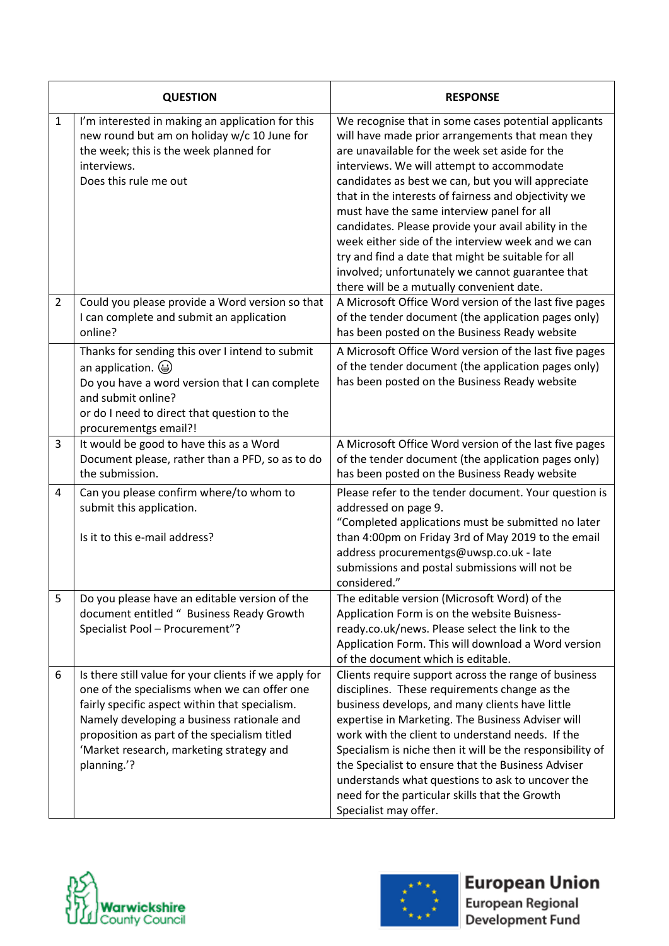| <b>QUESTION</b> |                                                                                                                                                                                                                                                                                                                  | <b>RESPONSE</b>                                                                                                                                                                                                                                                                                                                                                                                                                                                                                                                                                                                                                          |
|-----------------|------------------------------------------------------------------------------------------------------------------------------------------------------------------------------------------------------------------------------------------------------------------------------------------------------------------|------------------------------------------------------------------------------------------------------------------------------------------------------------------------------------------------------------------------------------------------------------------------------------------------------------------------------------------------------------------------------------------------------------------------------------------------------------------------------------------------------------------------------------------------------------------------------------------------------------------------------------------|
| $\mathbf{1}$    | I'm interested in making an application for this<br>new round but am on holiday w/c 10 June for<br>the week; this is the week planned for<br>interviews.<br>Does this rule me out                                                                                                                                | We recognise that in some cases potential applicants<br>will have made prior arrangements that mean they<br>are unavailable for the week set aside for the<br>interviews. We will attempt to accommodate<br>candidates as best we can, but you will appreciate<br>that in the interests of fairness and objectivity we<br>must have the same interview panel for all<br>candidates. Please provide your avail ability in the<br>week either side of the interview week and we can<br>try and find a date that might be suitable for all<br>involved; unfortunately we cannot guarantee that<br>there will be a mutually convenient date. |
| $\overline{2}$  | Could you please provide a Word version so that<br>I can complete and submit an application<br>online?                                                                                                                                                                                                           | A Microsoft Office Word version of the last five pages<br>of the tender document (the application pages only)<br>has been posted on the Business Ready website                                                                                                                                                                                                                                                                                                                                                                                                                                                                           |
|                 | Thanks for sending this over I intend to submit<br>an application. $\bigcirc$<br>Do you have a word version that I can complete<br>and submit online?<br>or do I need to direct that question to the<br>procurementgs email?!                                                                                    | A Microsoft Office Word version of the last five pages<br>of the tender document (the application pages only)<br>has been posted on the Business Ready website                                                                                                                                                                                                                                                                                                                                                                                                                                                                           |
| 3               | It would be good to have this as a Word<br>Document please, rather than a PFD, so as to do<br>the submission.                                                                                                                                                                                                    | A Microsoft Office Word version of the last five pages<br>of the tender document (the application pages only)<br>has been posted on the Business Ready website                                                                                                                                                                                                                                                                                                                                                                                                                                                                           |
| 4               | Can you please confirm where/to whom to<br>submit this application.<br>Is it to this e-mail address?                                                                                                                                                                                                             | Please refer to the tender document. Your question is<br>addressed on page 9.<br>"Completed applications must be submitted no later<br>than 4:00pm on Friday 3rd of May 2019 to the email<br>address procurementgs@uwsp.co.uk - late<br>submissions and postal submissions will not be<br>considered."                                                                                                                                                                                                                                                                                                                                   |
| 5               | Do you please have an editable version of the<br>document entitled " Business Ready Growth<br>Specialist Pool - Procurement"?                                                                                                                                                                                    | The editable version (Microsoft Word) of the<br>Application Form is on the website Buisness-<br>ready.co.uk/news. Please select the link to the<br>Application Form. This will download a Word version<br>of the document which is editable.                                                                                                                                                                                                                                                                                                                                                                                             |
| 6               | Is there still value for your clients if we apply for<br>one of the specialisms when we can offer one<br>fairly specific aspect within that specialism.<br>Namely developing a business rationale and<br>proposition as part of the specialism titled<br>'Market research, marketing strategy and<br>planning.'? | Clients require support across the range of business<br>disciplines. These requirements change as the<br>business develops, and many clients have little<br>expertise in Marketing. The Business Adviser will<br>work with the client to understand needs. If the<br>Specialism is niche then it will be the responsibility of<br>the Specialist to ensure that the Business Adviser<br>understands what questions to ask to uncover the<br>need for the particular skills that the Growth<br>Specialist may offer.                                                                                                                      |





## **European Union**

European Regional<br>Development Fund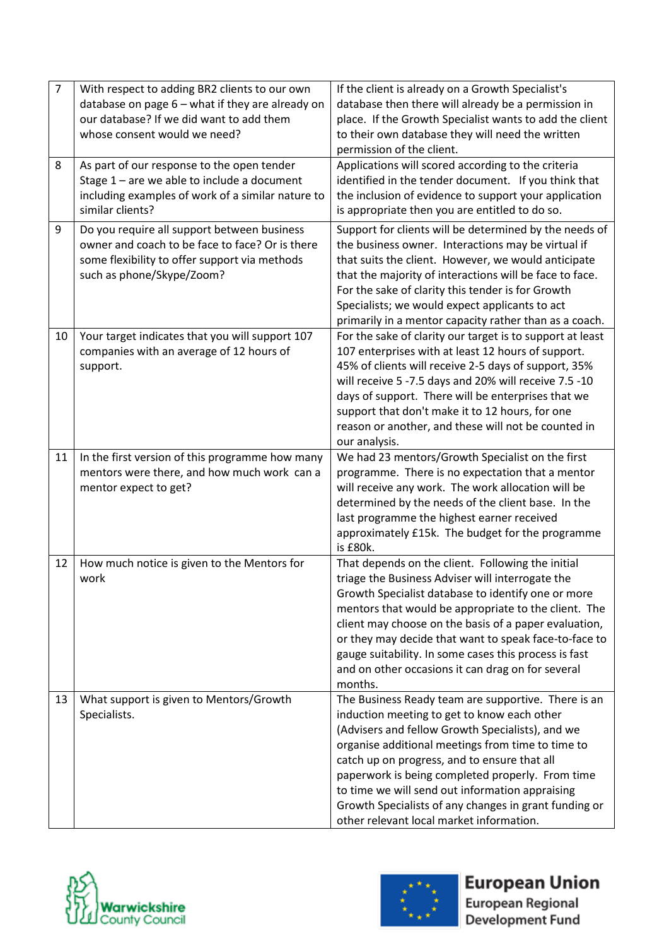| $\overline{7}$ | With respect to adding BR2 clients to our own<br>database on page 6 - what if they are already on<br>our database? If we did want to add them<br>whose consent would we need? | If the client is already on a Growth Specialist's<br>database then there will already be a permission in<br>place. If the Growth Specialist wants to add the client<br>to their own database they will need the written<br>permission of the client.                                                                                                                                                                                                                    |
|----------------|-------------------------------------------------------------------------------------------------------------------------------------------------------------------------------|-------------------------------------------------------------------------------------------------------------------------------------------------------------------------------------------------------------------------------------------------------------------------------------------------------------------------------------------------------------------------------------------------------------------------------------------------------------------------|
| 8              | As part of our response to the open tender                                                                                                                                    | Applications will scored according to the criteria                                                                                                                                                                                                                                                                                                                                                                                                                      |
|                | Stage $1$ – are we able to include a document<br>including examples of work of a similar nature to<br>similar clients?                                                        | identified in the tender document. If you think that<br>the inclusion of evidence to support your application<br>is appropriate then you are entitled to do so.                                                                                                                                                                                                                                                                                                         |
| 9              | Do you require all support between business<br>owner and coach to be face to face? Or is there<br>some flexibility to offer support via methods<br>such as phone/Skype/Zoom?  | Support for clients will be determined by the needs of<br>the business owner. Interactions may be virtual if<br>that suits the client. However, we would anticipate<br>that the majority of interactions will be face to face.<br>For the sake of clarity this tender is for Growth<br>Specialists; we would expect applicants to act<br>primarily in a mentor capacity rather than as a coach.                                                                         |
| 10             | Your target indicates that you will support 107<br>companies with an average of 12 hours of<br>support.                                                                       | For the sake of clarity our target is to support at least<br>107 enterprises with at least 12 hours of support.<br>45% of clients will receive 2-5 days of support, 35%<br>will receive 5 -7.5 days and 20% will receive 7.5 -10<br>days of support. There will be enterprises that we<br>support that don't make it to 12 hours, for one<br>reason or another, and these will not be counted in<br>our analysis.                                                       |
| 11             | In the first version of this programme how many<br>mentors were there, and how much work can a<br>mentor expect to get?                                                       | We had 23 mentors/Growth Specialist on the first<br>programme. There is no expectation that a mentor<br>will receive any work. The work allocation will be<br>determined by the needs of the client base. In the<br>last programme the highest earner received<br>approximately £15k. The budget for the programme<br>is £80k.                                                                                                                                          |
| 12             | How much notice is given to the Mentors for<br>work                                                                                                                           | That depends on the client. Following the initial<br>triage the Business Adviser will interrogate the<br>Growth Specialist database to identify one or more<br>mentors that would be appropriate to the client. The<br>client may choose on the basis of a paper evaluation,<br>or they may decide that want to speak face-to-face to<br>gauge suitability. In some cases this process is fast<br>and on other occasions it can drag on for several<br>months.          |
| 13             | What support is given to Mentors/Growth<br>Specialists.                                                                                                                       | The Business Ready team are supportive. There is an<br>induction meeting to get to know each other<br>(Advisers and fellow Growth Specialists), and we<br>organise additional meetings from time to time to<br>catch up on progress, and to ensure that all<br>paperwork is being completed properly. From time<br>to time we will send out information appraising<br>Growth Specialists of any changes in grant funding or<br>other relevant local market information. |





**European Union** 

European Regional Development Fund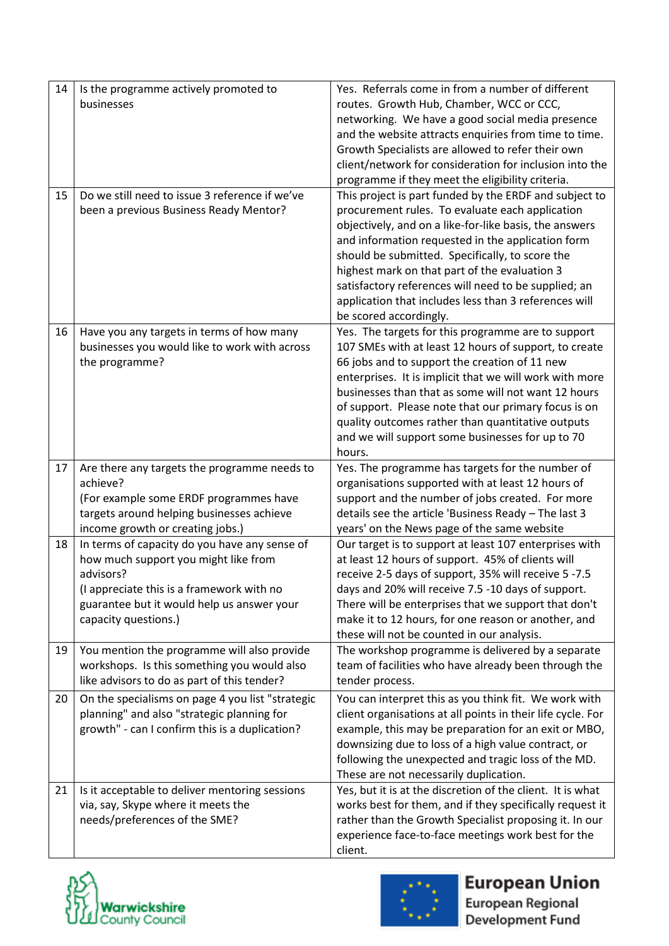| 14 | Is the programme actively promoted to            | Yes. Referrals come in from a number of different           |
|----|--------------------------------------------------|-------------------------------------------------------------|
|    | businesses                                       | routes. Growth Hub, Chamber, WCC or CCC,                    |
|    |                                                  | networking. We have a good social media presence            |
|    |                                                  | and the website attracts enquiries from time to time.       |
|    |                                                  | Growth Specialists are allowed to refer their own           |
|    |                                                  | client/network for consideration for inclusion into the     |
|    |                                                  | programme if they meet the eligibility criteria.            |
| 15 | Do we still need to issue 3 reference if we've   | This project is part funded by the ERDF and subject to      |
|    | been a previous Business Ready Mentor?           | procurement rules. To evaluate each application             |
|    |                                                  | objectively, and on a like-for-like basis, the answers      |
|    |                                                  | and information requested in the application form           |
|    |                                                  | should be submitted. Specifically, to score the             |
|    |                                                  | highest mark on that part of the evaluation 3               |
|    |                                                  | satisfactory references will need to be supplied; an        |
|    |                                                  | application that includes less than 3 references will       |
|    |                                                  | be scored accordingly.                                      |
| 16 | Have you any targets in terms of how many        | Yes. The targets for this programme are to support          |
|    | businesses you would like to work with across    | 107 SMEs with at least 12 hours of support, to create       |
|    | the programme?                                   | 66 jobs and to support the creation of 11 new               |
|    |                                                  | enterprises. It is implicit that we will work with more     |
|    |                                                  | businesses than that as some will not want 12 hours         |
|    |                                                  | of support. Please note that our primary focus is on        |
|    |                                                  | quality outcomes rather than quantitative outputs           |
|    |                                                  | and we will support some businesses for up to 70            |
|    |                                                  | hours.                                                      |
| 17 | Are there any targets the programme needs to     | Yes. The programme has targets for the number of            |
|    | achieve?                                         | organisations supported with at least 12 hours of           |
|    | (For example some ERDF programmes have           | support and the number of jobs created. For more            |
|    | targets around helping businesses achieve        | details see the article 'Business Ready - The last 3        |
|    | income growth or creating jobs.)                 | years' on the News page of the same website                 |
| 18 | In terms of capacity do you have any sense of    | Our target is to support at least 107 enterprises with      |
|    | how much support you might like from             | at least 12 hours of support. 45% of clients will           |
|    | advisors?                                        | receive 2-5 days of support, 35% will receive 5 -7.5        |
|    | (I appreciate this is a framework with no        | days and 20% will receive 7.5 -10 days of support.          |
|    | guarantee but it would help us answer your       | There will be enterprises that we support that don't        |
|    | capacity questions.)                             | make it to 12 hours, for one reason or another, and         |
|    |                                                  | these will not be counted in our analysis.                  |
| 19 | You mention the programme will also provide      | The workshop programme is delivered by a separate           |
|    | workshops. Is this something you would also      | team of facilities who have already been through the        |
|    | like advisors to do as part of this tender?      | tender process.                                             |
| 20 | On the specialisms on page 4 you list "strategic | You can interpret this as you think fit. We work with       |
|    | planning" and also "strategic planning for       | client organisations at all points in their life cycle. For |
|    | growth" - can I confirm this is a duplication?   | example, this may be preparation for an exit or MBO,        |
|    |                                                  | downsizing due to loss of a high value contract, or         |
|    |                                                  | following the unexpected and tragic loss of the MD.         |
|    |                                                  | These are not necessarily duplication.                      |
| 21 | Is it acceptable to deliver mentoring sessions   | Yes, but it is at the discretion of the client. It is what  |
|    | via, say, Skype where it meets the               | works best for them, and if they specifically request it    |
|    | needs/preferences of the SME?                    | rather than the Growth Specialist proposing it. In our      |
|    |                                                  | experience face-to-face meetings work best for the          |
|    |                                                  | client.                                                     |





## **European Union**

European Regional<br>Development Fund